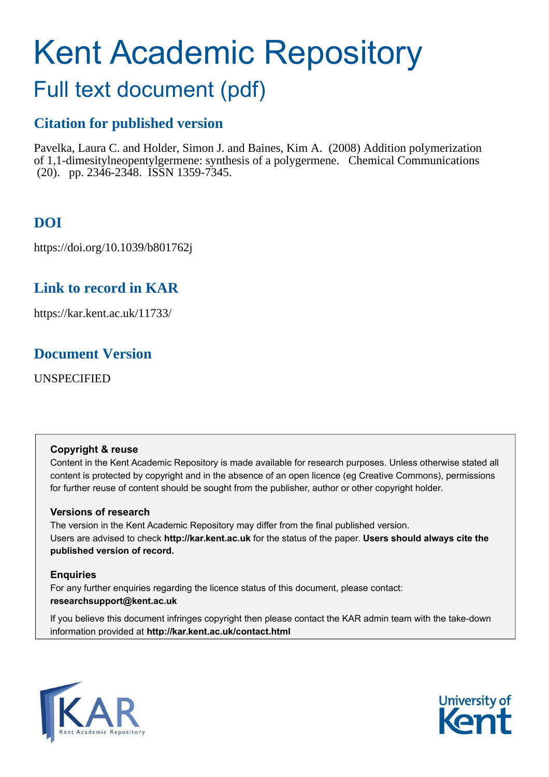# Kent Academic Repository

## Full text document (pdf)

## **Citation for published version**

Pavelka, Laura C. and Holder, Simon J. and Baines, Kim A. (2008) Addition polymerization of 1,1-dimesitylneopentylgermene: synthesis of a polygermene. Chemical Communications (20). pp. 2346-2348. ISSN 1359-7345.

## **DOI**

https://doi.org/10.1039/b801762j

## **Link to record in KAR**

https://kar.kent.ac.uk/11733/

### **Document Version**

UNSPECIFIED

#### **Copyright & reuse**

Content in the Kent Academic Repository is made available for research purposes. Unless otherwise stated all content is protected by copyright and in the absence of an open licence (eg Creative Commons), permissions for further reuse of content should be sought from the publisher, author or other copyright holder.

#### **Versions of research**

The version in the Kent Academic Repository may differ from the final published version. Users are advised to check **http://kar.kent.ac.uk** for the status of the paper. **Users should always cite the published version of record.**

#### **Enquiries**

For any further enquiries regarding the licence status of this document, please contact: **researchsupport@kent.ac.uk**

If you believe this document infringes copyright then please contact the KAR admin team with the take-down information provided at **http://kar.kent.ac.uk/contact.html**



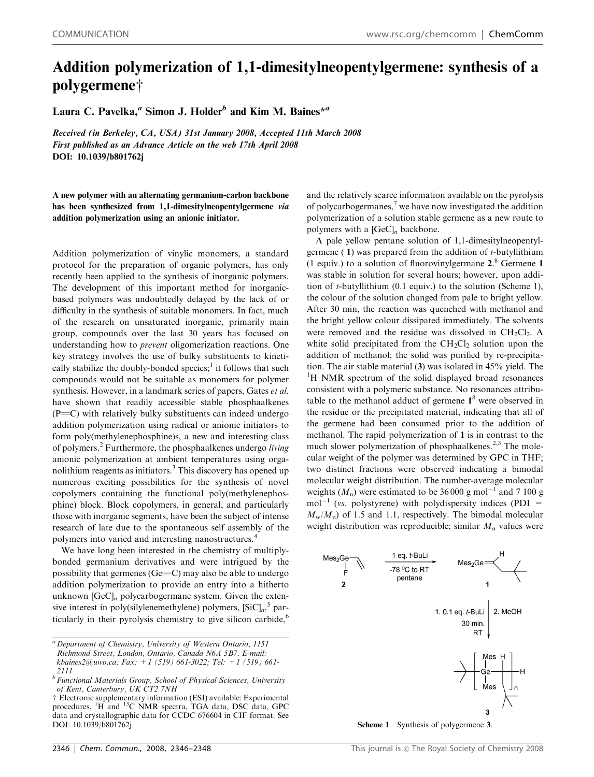## Addition polymerization of 1,1-dimesitylneopentylgermene: synthesis of a polygermene<sup>†</sup>

Laura C. Pavelka,<sup>*a*</sup> Simon J. Holder<sup>b</sup> and Kim M. Baines<sup>\**a*</sup>

Received (in Berkeley, CA, USA) 31st January 2008, Accepted 11th March 2008 First published as an Advance Article on the web 17th April 2008 DOI: 10.1039/b801762j

A new polymer with an alternating germanium-carbon backbone has been synthesized from 1,1-dimesitylneopentylgermene via addition polymerization using an anionic initiator.

Addition polymerization of vinylic monomers, a standard protocol for the preparation of organic polymers, has only recently been applied to the synthesis of inorganic polymers. The development of this important method for inorganicbased polymers was undoubtedly delayed by the lack of or difficulty in the synthesis of suitable monomers. In fact, much of the research on unsaturated inorganic, primarily main group, compounds over the last 30 years has focused on understanding how to *prevent* oligomerization reactions. One key strategy involves the use of bulky substituents to kinetically stabilize the doubly-bonded species;<sup>1</sup> it follows that such compounds would not be suitable as monomers for polymer synthesis. However, in a landmark series of papers, Gates *et al.* have shown that readily accessible stable phosphaalkenes  $(P=C)$  with relatively bulky substituents can indeed undergo addition polymerization using radical or anionic initiators to form poly(methylenephosphine)s, a new and interesting class of polymers.<sup>2</sup> Furthermore, the phosphaalkenes undergo *living* anionic polymerization at ambient temperatures using organolithium reagents as initiators.<sup>3</sup> This discovery has opened up numerous exciting possibilities for the synthesis of novel copolymers containing the functional poly(methylenephosphine) block. Block copolymers, in general, and particularly those with inorganic segments, have been the subject of intense research of late due to the spontaneous self assembly of the polymers into varied and interesting nanostructures.<sup>4</sup>

We have long been interested in the chemistry of multiplybonded germanium derivatives and were intrigued by the possibility that germenes  $(Ge=C)$  may also be able to undergo addition polymerization to provide an entry into a hitherto unknown [GeC]<sub>n</sub> polycarbogermane system. Given the extensive interest in poly(silylenemethylene) polymers, [SiC]*<sup>n</sup>* , 5 particularly in their pyrolysis chemistry to give silicon carbide, $<sup>6</sup>$ </sup> and the relatively scarce information available on the pyrolysis of polycarbogermanes,<sup>7</sup> we have now investigated the addition polymerization of a solution stable germene as a new route to polymers with a [GeC]*<sup>n</sup>* backbone.

A pale yellow pentane solution of 1,1-dimesitylneopentylgermene ( 1) was prepared from the addition of *t*-butyllithium (1 equiv.) to a solution of fluorovinylgermane 2. <sup>8</sup> Germene 1 was stable in solution for several hours; however, upon addition of *t*-butyllithium (0.1 equiv.) to the solution (Scheme 1), the colour of the solution changed from pale to bright yellow. After 30 min, the reaction was quenched with methanol and the bright yellow colour dissipated immediately. The solvents were removed and the residue was dissolved in  $CH<sub>2</sub>Cl<sub>2</sub>$ . A white solid precipitated from the  $CH<sub>2</sub>Cl<sub>2</sub>$  solution upon the addition of methanol; the solid was purified by re-precipitation. The air stable material (3) was isolated in 45% yield. The <sup>1</sup>H NMR spectrum of the solid displayed broad resonances consistent with a polymeric substance. No resonances attributable to the methanol adduct of germene  $1<sup>8</sup>$  were observed in the residue or the precipitated material, indicating that all of the germene had been consumed prior to the addition of methanol. The rapid polymerization of 1 is in contrast to the much slower polymerization of phosphaalkenes.<sup>2,3</sup> The molecular weight of the polymer was determined by GPC in THF; two distinct fractions were observed indicating a bimodal molecular weight distribution. The number-average molecular weights  $(M_n)$  were estimated to be 36 000 g mol<sup>-1</sup> and 7 100 g  $mol^{-1}$  (*vs.* polystyrene) with polydispersity indices (PDI =  $M_{\text{w}}/M_{\text{n}}$ ) of 1.5 and 1.1, respectively. The bimodal molecular weight distribution was reproducible; similar  $M_n$  values were



Scheme 1 Synthesis of polygermene 3.

*<sup>a</sup> Department of Chemistry, University of Western Ontario, 1151*

*Richmond Street, London, Ontario, Canada N6A 5B7. E-mail:*

*kbaines2@uwo.ca; Fax: +1 (519) 661-3022; Tel: +1 (519) 661- 2111*

*b Functional Materials Group, School of Physical Sciences, University of Kent, Canterbury, UK CT2 7NH*

 $\dagger$  Electronic supplementary information (ESI) available: Experimental procedures, <sup>1</sup>H and <sup>13</sup>C NMR spectra, TGA data, DSC data, GPC data and crystallographic data for CCDC 676604 in CIF format. See DOI: 10.1039/b801762j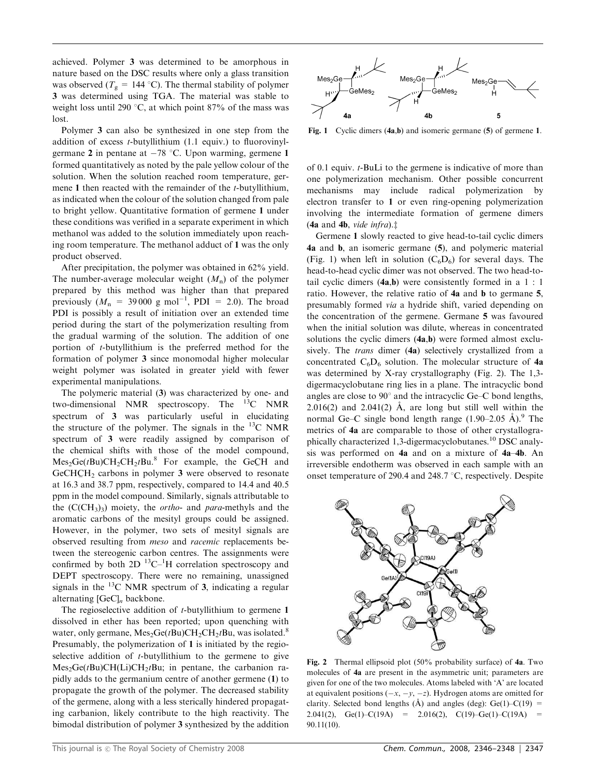achieved. Polymer 3 was determined to be amorphous in nature based on the DSC results where only a glass transition was observed ( $T_g = 144$  °C). The thermal stability of polymer 3 was determined using TGA. The material was stable to weight loss until 290  $\degree$ C, at which point 87% of the mass was lost.

Polymer 3 can also be synthesized in one step from the addition of excess *t*-butyllithium (1.1 equiv.) to fluorovinylgermane 2 in pentane at  $-78$  °C. Upon warming, germene 1 formed quantitatively as noted by the pale yellow colour of the solution. When the solution reached room temperature, germene 1 then reacted with the remainder of the *t*-butyllithium, as indicated when the colour of the solution changed from pale to bright yellow. Quantitative formation of germene 1 under these conditions was verified in a separate experiment in which methanol was added to the solution immediately upon reaching room temperature. The methanol adduct of 1 was the only product observed.

After precipitation, the polymer was obtained in 62% yield. The number-average molecular weight  $(M_n)$  of the polymer prepared by this method was higher than that prepared previously  $(M_n = 39000 \text{ g mol}^{-1}$ , PDI = 2.0). The broad PDI is possibly a result of initiation over an extended time period during the start of the polymerization resulting from the gradual warming of the solution. The addition of one portion of *t*-butyllithium is the preferred method for the formation of polymer 3 since monomodal higher molecular weight polymer was isolated in greater yield with fewer experimental manipulations.

The polymeric material (3) was characterized by one- and two-dimensional NMR spectroscopy. The <sup>13</sup>C NMR spectrum of 3 was particularly useful in elucidating the structure of the polymer. The signals in the  $^{13}$ C NMR spectrum of 3 were readily assigned by comparison of the chemical shifts with those of the model compound,  $\text{Mes}_2\text{Ge}(t\text{Bu})\text{CH}_2\text{CH}_2t\text{Bu}.^8$  For example, the GeCH and  $GeCHCH<sub>2</sub>$  carbons in polymer 3 were observed to resonate at 16.3 and 38.7 ppm, respectively, compared to 14.4 and 40.5 ppm in the model compound. Similarly, signals attributable to the  $(C(CH_3)$ <sub>3</sub>) moiety, the *ortho*- and *para*-methyls and the aromatic carbons of the mesityl groups could be assigned. However, in the polymer, two sets of mesityl signals are observed resulting from *meso* and *racemic* replacements between the stereogenic carbon centres. The assignments were confirmed by both  $2D<sup>13</sup>C<sup>-1</sup>H$  correlation spectroscopy and DEPT spectroscopy. There were no remaining, unassigned signals in the  $^{13}$ C NMR spectrum of 3, indicating a regular alternating [GeC]*<sup>n</sup>* backbone.

The regioselective addition of *t*-butyllithium to germene 1 dissolved in ether has been reported; upon quenching with water, only germane,  $\text{Mes}_2\text{Ge}(t\text{Bu})\text{CH}_2\text{CH}_2t\text{Bu}$ , was isolated.<sup>8</sup> Presumably, the polymerization of 1 is initiated by the regioselective addition of *t*-butyllithium to the germene to give Mes<sub>2</sub>Ge(*t*Bu)CH(Li)CH<sub>2</sub>*t*Bu; in pentane, the carbanion rapidly adds to the germanium centre of another germene (1) to propagate the growth of the polymer. The decreased stability of the germene, along with a less sterically hindered propagating carbanion, likely contribute to the high reactivity. The bimodal distribution of polymer 3 synthesized by the addition



Fig. 1 Cyclic dimers (4a,b) and isomeric germane (5) of germene 1.

of 0.1 equiv. *t*-BuLi to the germene is indicative of more than one polymerization mechanism. Other possible concurrent mechanisms may include radical polymerization by electron transfer to 1 or even ring-opening polymerization involving the intermediate formation of germene dimers  $(4a$  and  $4b$ , *vide infra*).<sup> $†$ </sup>

Germene 1 slowly reacted to give head-to-tail cyclic dimers 4a and b, an isomeric germane (5), and polymeric material (Fig. 1) when left in solution  $(C_6D_6)$  for several days. The head-to-head cyclic dimer was not observed. The two head-totail cyclic dimers (4a,b) were consistently formed in a 1 : 1 ratio. However, the relative ratio of 4a and b to germane 5, presumably formed *via* a hydride shift, varied depending on the concentration of the germene. Germane 5 was favoured when the initial solution was dilute, whereas in concentrated solutions the cyclic dimers (4a,b) were formed almost exclusively. The *trans* dimer (4a) selectively crystallized from a concentrated  $C_6D_6$  solution. The molecular structure of 4a was determined by X-ray crystallography (Fig. 2). The 1,3 digermacyclobutane ring lies in a plane. The intracyclic bond angles are close to  $90^{\circ}$  and the intracyclic Ge–C bond lengths,  $2.016(2)$  and  $2.041(2)$  Å, are long but still well within the normal Ge–C single bond length range  $(1.90-2.05 \text{ Å})$ .<sup>9</sup> The metrics of 4a are comparable to those of other crystallographically characterized 1,3-digermacyclobutanes.<sup>10</sup> DSC analysis was performed on 4a and on a mixture of 4a–4b. An irreversible endotherm was observed in each sample with an onset temperature of 290.4 and 248.7  $\degree$ C, respectively. Despite



Fig. 2 Thermal ellipsoid plot (50% probability surface) of 4a. Two molecules of 4a are present in the asymmetric unit; parameters are given for one of the two molecules. Atoms labeled with 'A' are located at equivalent positions  $(-x, -y, -z)$ . Hydrogen atoms are omitted for clarity. Selected bond lengths ( $\AA$ ) and angles (deg): Ge(1)–C(19) = 2.041(2), Ge(1)–C(19A) = 2.016(2), C(19)–Ge(1)–C(19A) = 90.11(10).